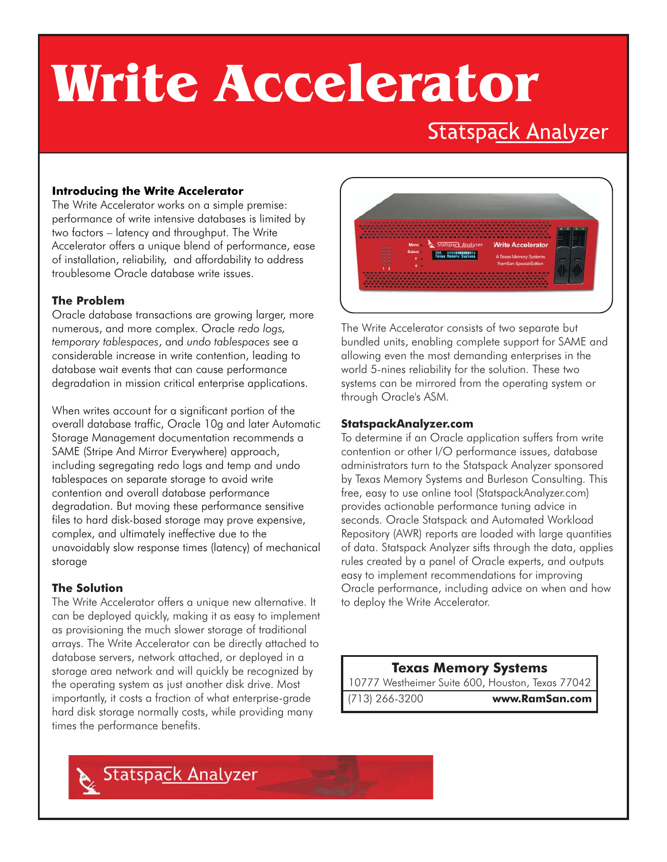# **Write Accelerator**

### **Statspack Analyzer**

#### **Introducing the Write Accelerator**

The Write Accelerator works on a simple premise: performance of write intensive databases is limited by two factors – latency and throughput. The Write Accelerator offers a unique blend of performance, ease of installation, reliability, and affordability to address troublesome Oracle database write issues.

#### **The Problem**

Oracle database transactions are growing larger, more numerous, and more complex. Oracle *redo logs,* temporary tablespaces, and undo tablespaces see a considerable increase in write contention, leading to database wait events that can cause performance degradation in mission critical enterprise applications.

When writes account for a significant portion of the overall database traffic, Oracle 10g and later Automatic Storage Management documentation recommends a SAME (Stripe And Mirror Everywhere) approach, including segregating redo logs and temp and undo tablespaces on separate storage to avoid write contention and overall database performance degradation. But moving these performance sensitive files to hard disk-based storage may prove expensive, complex, and ultimately ineffective due to the unavoidably slow response times (latency) of mechanical storage

#### **The Solution**

The Write Accelerator offers a unique new alternative. It can be deployed quickly, making it as easy to implement as provisioning the much slower storage of traditional arrays. The Write Accelerator can be directly attached to database servers, network attached, or deployed in a storage area network and will quickly be recognized by the operating system as just another disk drive. Most importantly, it costs a fraction of what enterprise-grade hard disk storage normally costs, while providing many times the performance benefits.



The Write Accelerator consists of two separate but bundled units, enabling complete support for SAME and allowing even the most demanding enterprises in the world 5-nines reliability for the solution. These two systems can be mirrored from the operating system or through Oracle's ASM.

#### **StatspackAnalyzer.com**

To determine if an Oracle application suffers from write contention or other I/O performance issues, database administrators turn to the Statspack Analyzer sponsored by Texas Memory Systems and Burleson Consulting. This free, easy to use online tool (StatspackAnalyzer.com) provides actionable performance tuning advice in seconds. Oracle Statspack and Automated Workload Repository (AWR) reports are loaded with large quantities of data. Statspack Analyzer sifts through the data, applies rules created by a panel of Oracle experts, and outputs easy to implement recommendations for improving Oracle performance, including advice on when and how to deploy the Write Accelerator.

#### **Texas Memory Systems**

10777 Westheimer Suite 600, Houston, Texas 77042 (713) 266-3200 **www.RamSan.com**

Statspack Analyzer